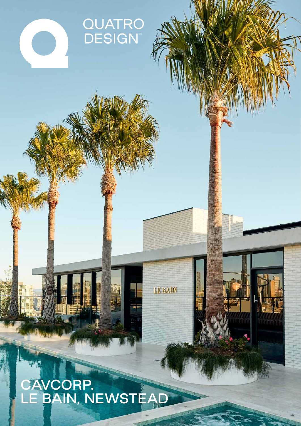# QUATRO<br>DESIGN

## AVCORP.<br>= BAIN, NEWSTEAD E,

LE BAIN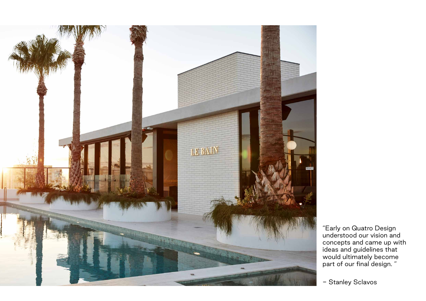

## - Stanley Sclavos

"Early on Quatro Design understood our vision and concepts and came up with ideas and guidelines that would ultimately become part of our final design. "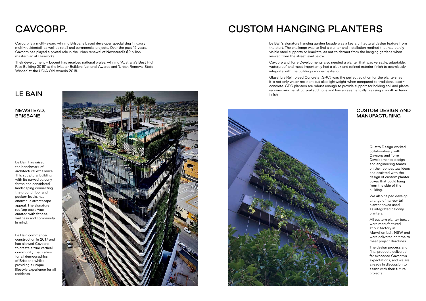# CAVCORP. CUSTOM HANGING PLANTERS

Cavcorp is a multi-award winning Brisbane based developer specialising in luxury multi-residentail, as well as retail and commercial projects. Over the past 15 years, Cavcorp has played a pivotal role in the urban renewal of Newstead's \$2 billion masterplan at Gasworks.

Their development - Lucent has received national praise, winning 'Australia's Best High Rise Building 2018' at the Master Builders National Awards and 'Urban Renewal State Winner' at the UDIA Qld Awards 2018.

Le Bain's signature hanging garden facade was a key architectural design feature from the start. The challenge was to find a planter and installation method that had barely visible steel supports or brackets, as not to detract from the hanging gardens when viewed from the street level below.

Cavcorp and Torre Developments also needed a planter that was versatile, adaptable, waterproof and most importantly had a sleek and refined exterior finish to seamlessly integrate with the building's modern exterior.

Glassfibre Reinforced Concrete (GRC) was the perfect solution for the planters, as it is not only water resistant but also lightweight when compared to traditional castconcrete. GRC planters are robust enough to provide support for holding soil and plants, requires minimal structural additions and has an aesthetically pleasing smooth exterior finish.





Quatro Design worked collaboratively with Cavcorp and Torre Developments' design and engineering teams on their conceptual ideas and assisted with the design of custom planter boxes that could hang from the side of the building.

We also helped develop a range of narrow tall planter boxes used as integrated balcony planters.

All custom planter boxes were manufactured at our factory in Murwillumbah, NSW and were delivered on time to meet project deadlines.

The design process and final products delivered, far exceeded Cavcorp's expectations, and we are already in discussion to assist with their future projects.

Le Bain has raised the benchmark of architectural excellence. This sculptural building, with its curved balcony forms and considered landscaping connecting the ground floor and podium levels, has enormous streetscape appeal. The signature rooftop oasis was curated with fitness, wellness and community in mind.

Le Bain commenced construction in 2017 and has allowed Cavcorp to create a true vertical community that caters for all demographics of Brisbane whilst providing a unique lifestyle experience for all residents.



LE BAIN

NEWSTEAD, BRISBANE

### CUSTOM DESIGN AND MANUFACTURING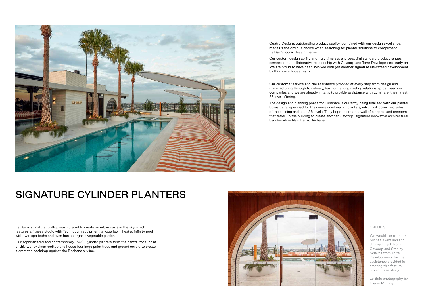

## SIGNATURE CYLINDER PLANTERS

Le Bain's signature rooftop was curated to create an urban oasis in the sky which features a fitness studio with Technogym equipment, a yoga lawn, heated infinity pool with twin spa baths and even has an organic vegetable garden.

Our sophisticated and contemporary 1800 Cylinder planters form the central focal point of this world-class rooftop and house four large palm trees and ground covers to create a dramatic backdrop against the Brisbane skyline.

Quatro Design's outstanding product quality, combined with our design excellence, made us the obvious choice when searching for planter solutions to compliment Le Bain's iconic design theme.

Our custom design ability and truly timeless and beautiful standard product ranges cemented our collaborative relationship with Cavcorp and Torre Developments early on. We are proud to have been involved with yet another signature Newstead development by this powerhouse team.

> We would like to thank Michael Cavalluci and Jimmy Huynh from Cavcorp and Stanley Sclavos from Torre Developments for the assistance provided in creating this feature project case study.

Our customer service and the assistance provided at every step from design and manufacturing through to delivery, has built a long-lasting relationship between our companies and we are already in talks to provide assistance with Luminare, their latest 28 level offering.

The design and planning phase for Luminare is currently being finalised with our planter boxes being specified for their envisioned wall of planters, which will cover two sides of the building and span 26 levels. They hope to create a wall of sleepers and creepers that travel up the building to create another Cavcorp-signature innovative architectural benchmark in New Farm, Brisbane.



#### **CREDITS**

Le Bain photography by Cieran Murphy.